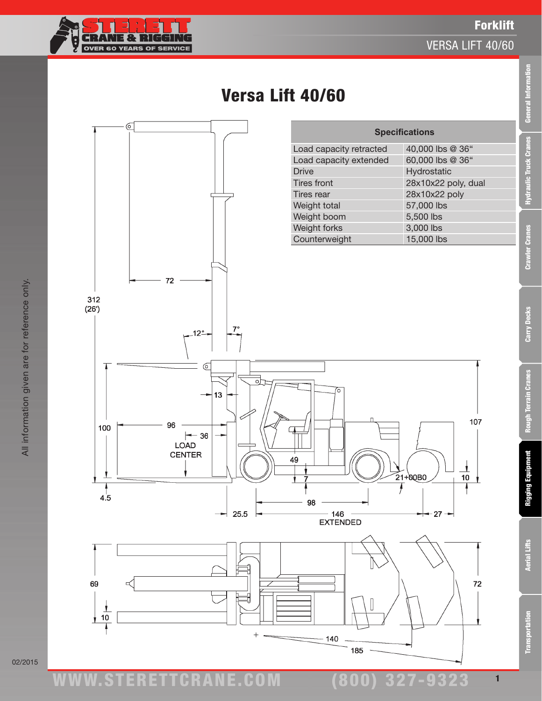

 $\sigma$ 

### VERSA LIFT 40/60

**Specifications**

Load capacity retracted 40,000 lbs @ 36" Load capacity extended 60,000 lbs @ 36" Drive Hydrostatic

General Information

1



# Versa Lift 40/60

Tires front 28x10x22 poly, dual Tires rear 28x10x22 poly Weight total 57,000 lbs Weight boom 5,500 lbs Weight forks 3,000 lbs Counterweight 15,000 lbs 107 <u>1</u>  $\overline{10}$  $-27 72$ 

02/2015

All information given are for reference only.

All information given are for reference only.